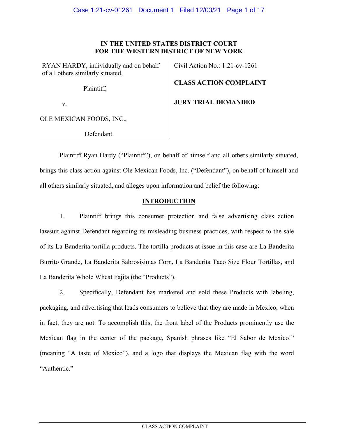# **IN THE UNITED STATES DISTRICT COURT FOR THE WESTERN DISTRICT OF NEW YORK**

RYAN HARDY, individually and on behalf of all others similarly situated,

Plaintiff,

v.

OLE MEXICAN FOODS, INC.,

Defendant.

Civil Action No.: 1:21-cv-1261

**CLASS ACTION COMPLAINT** 

**JURY TRIAL DEMANDED**

Plaintiff Ryan Hardy ("Plaintiff"), on behalf of himself and all others similarly situated, brings this class action against Ole Mexican Foods, Inc. ("Defendant"), on behalf of himself and all others similarly situated, and alleges upon information and belief the following:

# **INTRODUCTION**

1. Plaintiff brings this consumer protection and false advertising class action lawsuit against Defendant regarding its misleading business practices, with respect to the sale of its La Banderita tortilla products. The tortilla products at issue in this case are La Banderita Burrito Grande, La Banderita Sabrosísimas Corn, La Banderita Taco Size Flour Tortillas, and La Banderita Whole Wheat Fajita (the "Products").

2. Specifically, Defendant has marketed and sold these Products with labeling, packaging, and advertising that leads consumers to believe that they are made in Mexico, when in fact, they are not. To accomplish this, the front label of the Products prominently use the Mexican flag in the center of the package, Spanish phrases like "El Sabor de Mexico!" (meaning "A taste of Mexico"), and a logo that displays the Mexican flag with the word "Authentic."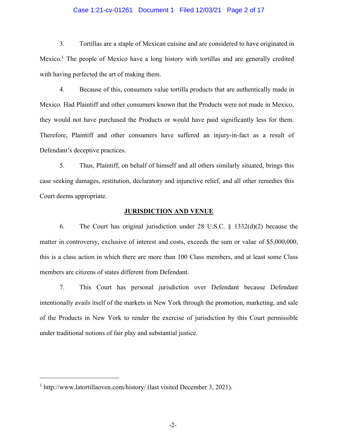## Case 1:21-cv-01261 Document 1 Filed 12/03/21 Page 2 of 17

3. Tortillas are a staple of Mexican cuisine and are considered to have originated in Mexico.<sup>1</sup> The people of Mexico have a long history with tortillas and are generally credited with having perfected the art of making them.

4. Because of this, consumers value tortilla products that are authentically made in Mexico. Had Plaintiff and other consumers known that the Products were not made in Mexico, they would not have purchased the Products or would have paid significantly less for them. Therefore, Plaintiff and other consumers have suffered an injury-in-fact as a result of Defendant's deceptive practices.

5. Thus, Plaintiff, on behalf of himself and all others similarly situated, brings this case seeking damages, restitution, declaratory and injunctive relief, and all other remedies this Court deems appropriate.

### **JURISDICTION AND VENUE**

6. The Court has original jurisdiction under 28 U.S.C. § 1332(d)(2) because the matter in controversy, exclusive of interest and costs, exceeds the sum or value of \$5,000,000, this is a class action in which there are more than 100 Class members, and at least some Class members are citizens of states different from Defendant.

7. This Court has personal jurisdiction over Defendant because Defendant intentionally avails itself of the markets in New York through the promotion, marketing, and sale of the Products in New York to render the exercise of jurisdiction by this Court permissible under traditional notions of fair play and substantial justice.

<sup>&</sup>lt;sup>1</sup> http://www.latortillaoven.com/history/ (last visited December 3, 2021).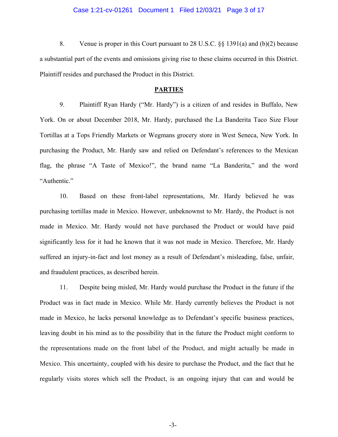## Case 1:21-cv-01261 Document 1 Filed 12/03/21 Page 3 of 17

8. Venue is proper in this Court pursuant to 28 U.S.C. §§ 1391(a) and (b)(2) because a substantial part of the events and omissions giving rise to these claims occurred in this District. Plaintiff resides and purchased the Product in this District.

#### **PARTIES**

9. Plaintiff Ryan Hardy ("Mr. Hardy") is a citizen of and resides in Buffalo, New York. On or about December 2018, Mr. Hardy, purchased the La Banderita Taco Size Flour Tortillas at a Tops Friendly Markets or Wegmans grocery store in West Seneca, New York. In purchasing the Product, Mr. Hardy saw and relied on Defendant's references to the Mexican flag, the phrase "A Taste of Mexico!", the brand name "La Banderita," and the word "Authentic."

10. Based on these front-label representations, Mr. Hardy believed he was purchasing tortillas made in Mexico. However, unbeknownst to Mr. Hardy, the Product is not made in Mexico. Mr. Hardy would not have purchased the Product or would have paid significantly less for it had he known that it was not made in Mexico. Therefore, Mr. Hardy suffered an injury-in-fact and lost money as a result of Defendant's misleading, false, unfair, and fraudulent practices, as described herein.

11. Despite being misled, Mr. Hardy would purchase the Product in the future if the Product was in fact made in Mexico. While Mr. Hardy currently believes the Product is not made in Mexico, he lacks personal knowledge as to Defendant's specific business practices, leaving doubt in his mind as to the possibility that in the future the Product might conform to the representations made on the front label of the Product, and might actually be made in Mexico. This uncertainty, coupled with his desire to purchase the Product, and the fact that he regularly visits stores which sell the Product, is an ongoing injury that can and would be

-3-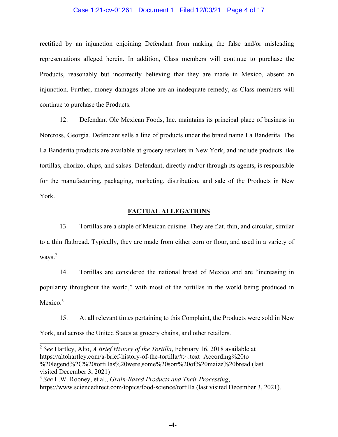### Case 1:21-cv-01261 Document 1 Filed 12/03/21 Page 4 of 17

rectified by an injunction enjoining Defendant from making the false and/or misleading representations alleged herein. In addition, Class members will continue to purchase the Products, reasonably but incorrectly believing that they are made in Mexico, absent an injunction. Further, money damages alone are an inadequate remedy, as Class members will continue to purchase the Products.

12. Defendant Ole Mexican Foods, Inc. maintains its principal place of business in Norcross, Georgia. Defendant sells a line of products under the brand name La Banderita. The La Banderita products are available at grocery retailers in New York, and include products like tortillas, chorizo, chips, and salsas. Defendant, directly and/or through its agents, is responsible for the manufacturing, packaging, marketing, distribution, and sale of the Products in New York.

### **FACTUAL ALLEGATIONS**

13. Tortillas are a staple of Mexican cuisine. They are flat, thin, and circular, similar to a thin flatbread. Typically, they are made from either corn or flour, and used in a variety of ways.<sup>2</sup>

14. Tortillas are considered the national bread of Mexico and are "increasing in popularity throughout the world," with most of the tortillas in the world being produced in Mexico.<sup>3</sup>

15. At all relevant times pertaining to this Complaint, the Products were sold in New York, and across the United States at grocery chains, and other retailers.

<sup>2</sup> *See* Hartley, Alto, *A Brief History of the Tortilla*, February 16, 2018 available at https://altohartley.com/a-brief-history-of-the-tortilla/#:~:text=According%20to %20legend%2C%20tortillas%20were,some%20sort%20of%20maize%20bread (last visited December 3, 2021)

<sup>3</sup> *See* L.W. Rooney, et al., *Grain-Based Products and Their Processing*, https://www.sciencedirect.com/topics/food-science/tortilla (last visited December 3, 2021).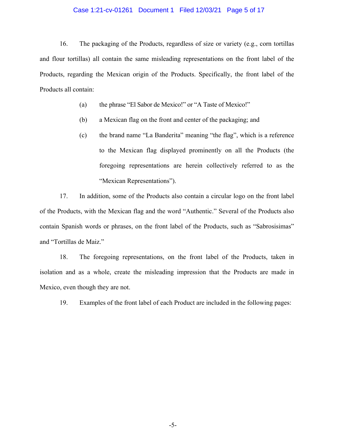# Case 1:21-cv-01261 Document 1 Filed 12/03/21 Page 5 of 17

16. The packaging of the Products, regardless of size or variety (e.g., corn tortillas and flour tortillas) all contain the same misleading representations on the front label of the Products, regarding the Mexican origin of the Products. Specifically, the front label of the Products all contain:

- (a) the phrase "El Sabor de Mexico!" or "A Taste of Mexico!"
- (b) a Mexican flag on the front and center of the packaging; and
- (c) the brand name "La Banderita" meaning "the flag", which is a reference to the Mexican flag displayed prominently on all the Products (the foregoing representations are herein collectively referred to as the "Mexican Representations").

17. In addition, some of the Products also contain a circular logo on the front label of the Products, with the Mexican flag and the word "Authentic." Several of the Products also contain Spanish words or phrases, on the front label of the Products, such as "Sabrosisimas" and "Tortillas de Maiz."

18. The foregoing representations, on the front label of the Products, taken in isolation and as a whole, create the misleading impression that the Products are made in Mexico, even though they are not.

19. Examples of the front label of each Product are included in the following pages: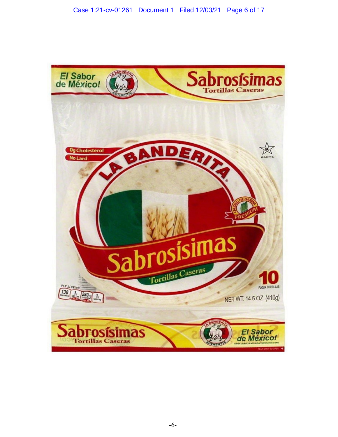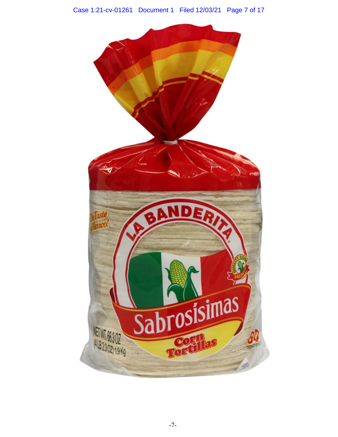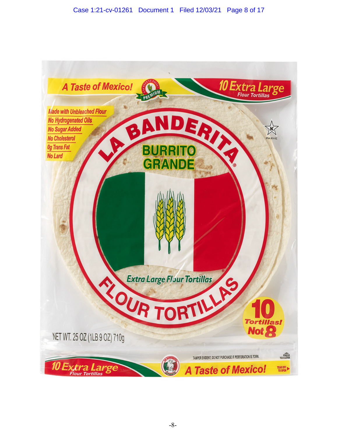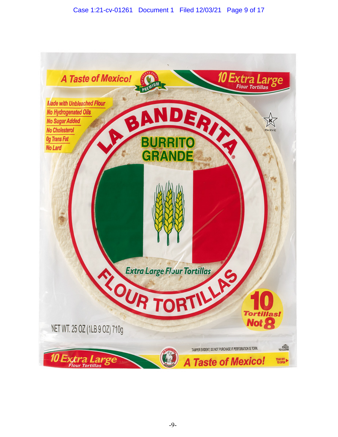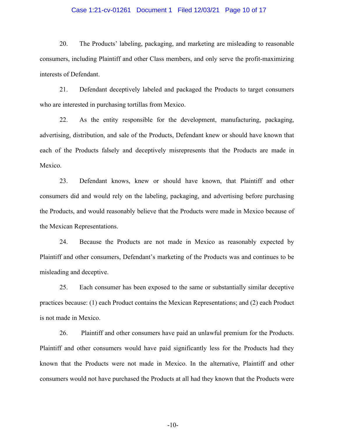# Case 1:21-cv-01261 Document 1 Filed 12/03/21 Page 10 of 17

20. The Products' labeling, packaging, and marketing are misleading to reasonable consumers, including Plaintiff and other Class members, and only serve the profit-maximizing interests of Defendant.

21. Defendant deceptively labeled and packaged the Products to target consumers who are interested in purchasing tortillas from Mexico.

22. As the entity responsible for the development, manufacturing, packaging, advertising, distribution, and sale of the Products, Defendant knew or should have known that each of the Products falsely and deceptively misrepresents that the Products are made in Mexico.

23. Defendant knows, knew or should have known, that Plaintiff and other consumers did and would rely on the labeling, packaging, and advertising before purchasing the Products, and would reasonably believe that the Products were made in Mexico because of the Mexican Representations.

24. Because the Products are not made in Mexico as reasonably expected by Plaintiff and other consumers, Defendant's marketing of the Products was and continues to be misleading and deceptive.

25. Each consumer has been exposed to the same or substantially similar deceptive practices because: (1) each Product contains the Mexican Representations; and (2) each Product is not made in Mexico.

26. Plaintiff and other consumers have paid an unlawful premium for the Products. Plaintiff and other consumers would have paid significantly less for the Products had they known that the Products were not made in Mexico. In the alternative, Plaintiff and other consumers would not have purchased the Products at all had they known that the Products were

-10-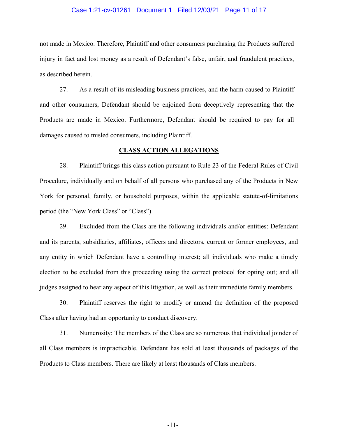#### Case 1:21-cv-01261 Document 1 Filed 12/03/21 Page 11 of 17

not made in Mexico. Therefore, Plaintiff and other consumers purchasing the Products suffered injury in fact and lost money as a result of Defendant's false, unfair, and fraudulent practices, as described herein.

27. As a result of its misleading business practices, and the harm caused to Plaintiff and other consumers, Defendant should be enjoined from deceptively representing that the Products are made in Mexico. Furthermore, Defendant should be required to pay for all damages caused to misled consumers, including Plaintiff.

#### **CLASS ACTION ALLEGATIONS**

28. Plaintiff brings this class action pursuant to Rule 23 of the Federal Rules of Civil Procedure, individually and on behalf of all persons who purchased any of the Products in New York for personal, family, or household purposes, within the applicable statute-of-limitations period (the "New York Class" or "Class").

29. Excluded from the Class are the following individuals and/or entities: Defendant and its parents, subsidiaries, affiliates, officers and directors, current or former employees, and any entity in which Defendant have a controlling interest; all individuals who make a timely election to be excluded from this proceeding using the correct protocol for opting out; and all judges assigned to hear any aspect of this litigation, as well as their immediate family members.

30. Plaintiff reserves the right to modify or amend the definition of the proposed Class after having had an opportunity to conduct discovery.

31. Numerosity: The members of the Class are so numerous that individual joinder of all Class members is impracticable. Defendant has sold at least thousands of packages of the Products to Class members. There are likely at least thousands of Class members.

-11-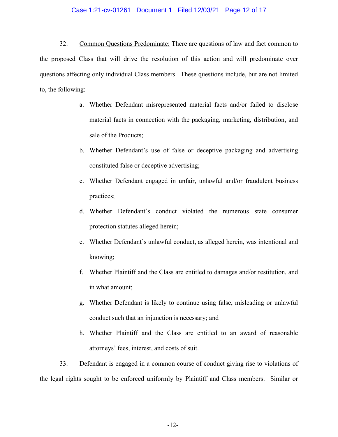# Case 1:21-cv-01261 Document 1 Filed 12/03/21 Page 12 of 17

32. Common Questions Predominate: There are questions of law and fact common to the proposed Class that will drive the resolution of this action and will predominate over questions affecting only individual Class members. These questions include, but are not limited to, the following:

- a. Whether Defendant misrepresented material facts and/or failed to disclose material facts in connection with the packaging, marketing, distribution, and sale of the Products;
- b. Whether Defendant's use of false or deceptive packaging and advertising constituted false or deceptive advertising;
- c. Whether Defendant engaged in unfair, unlawful and/or fraudulent business practices;
- d. Whether Defendant's conduct violated the numerous state consumer protection statutes alleged herein;
- e. Whether Defendant's unlawful conduct, as alleged herein, was intentional and knowing;
- f. Whether Plaintiff and the Class are entitled to damages and/or restitution, and in what amount;
- g. Whether Defendant is likely to continue using false, misleading or unlawful conduct such that an injunction is necessary; and
- h. Whether Plaintiff and the Class are entitled to an award of reasonable attorneys' fees, interest, and costs of suit.

33. Defendant is engaged in a common course of conduct giving rise to violations of the legal rights sought to be enforced uniformly by Plaintiff and Class members. Similar or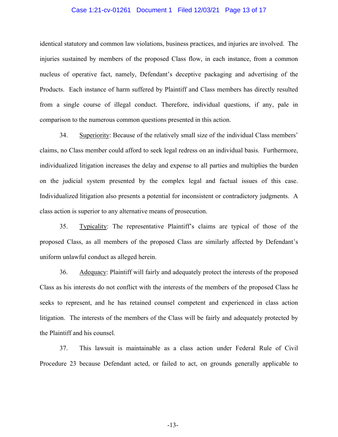### Case 1:21-cv-01261 Document 1 Filed 12/03/21 Page 13 of 17

identical statutory and common law violations, business practices, and injuries are involved. The injuries sustained by members of the proposed Class flow, in each instance, from a common nucleus of operative fact, namely, Defendant's deceptive packaging and advertising of the Products. Each instance of harm suffered by Plaintiff and Class members has directly resulted from a single course of illegal conduct. Therefore, individual questions, if any, pale in comparison to the numerous common questions presented in this action.

34. Superiority: Because of the relatively small size of the individual Class members' claims, no Class member could afford to seek legal redress on an individual basis. Furthermore, individualized litigation increases the delay and expense to all parties and multiplies the burden on the judicial system presented by the complex legal and factual issues of this case. Individualized litigation also presents a potential for inconsistent or contradictory judgments. A class action is superior to any alternative means of prosecution.

35. Typicality: The representative Plaintiff's claims are typical of those of the proposed Class, as all members of the proposed Class are similarly affected by Defendant's uniform unlawful conduct as alleged herein.

36. Adequacy: Plaintiff will fairly and adequately protect the interests of the proposed Class as his interests do not conflict with the interests of the members of the proposed Class he seeks to represent, and he has retained counsel competent and experienced in class action litigation. The interests of the members of the Class will be fairly and adequately protected by the Plaintiff and his counsel.

37. This lawsuit is maintainable as a class action under Federal Rule of Civil Procedure 23 because Defendant acted, or failed to act, on grounds generally applicable to

-13-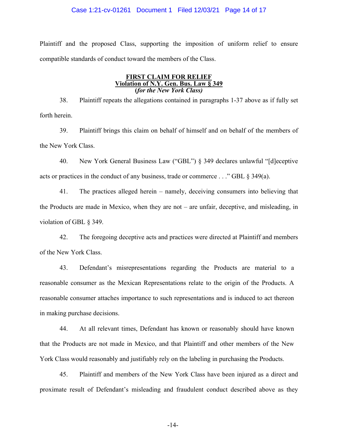#### Case 1:21-cv-01261 Document 1 Filed 12/03/21 Page 14 of 17

Plaintiff and the proposed Class, supporting the imposition of uniform relief to ensure compatible standards of conduct toward the members of the Class.

#### **FIRST CLAIM FOR RELIEF Violation of N.Y. Gen. Bus. Law § 349 (***for the New York Class)*

38. Plaintiff repeats the allegations contained in paragraphs 1-37 above as if fully set forth herein.

39. Plaintiff brings this claim on behalf of himself and on behalf of the members of the New York Class.

40. New York General Business Law ("GBL") § 349 declares unlawful "[d]eceptive acts or practices in the conduct of any business, trade or commerce . . ." GBL § 349(a).

41. The practices alleged herein – namely, deceiving consumers into believing that the Products are made in Mexico, when they are not – are unfair, deceptive, and misleading, in violation of GBL § 349.

42. The foregoing deceptive acts and practices were directed at Plaintiff and members of the New York Class.

43. Defendant's misrepresentations regarding the Products are material to a reasonable consumer as the Mexican Representations relate to the origin of the Products. A reasonable consumer attaches importance to such representations and is induced to act thereon in making purchase decisions.

44. At all relevant times, Defendant has known or reasonably should have known that the Products are not made in Mexico, and that Plaintiff and other members of the New York Class would reasonably and justifiably rely on the labeling in purchasing the Products.

45. Plaintiff and members of the New York Class have been injured as a direct and proximate result of Defendant's misleading and fraudulent conduct described above as they

-14-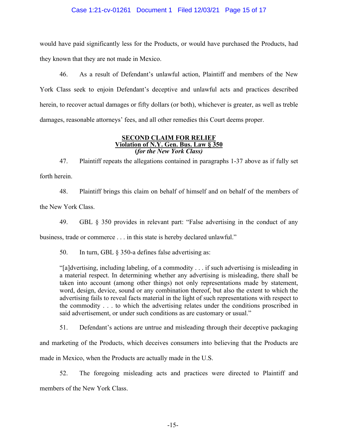# Case 1:21-cv-01261 Document 1 Filed 12/03/21 Page 15 of 17

would have paid significantly less for the Products, or would have purchased the Products, had they known that they are not made in Mexico.

46. As a result of Defendant's unlawful action, Plaintiff and members of the New York Class seek to enjoin Defendant's deceptive and unlawful acts and practices described herein, to recover actual damages or fifty dollars (or both), whichever is greater, as well as treble damages, reasonable attorneys' fees, and all other remedies this Court deems proper.

#### **SECOND CLAIM FOR RELIEF Violation of N.Y. Gen. Bus. Law § 350 (***for the New York Class)*

47. Plaintiff repeats the allegations contained in paragraphs 1-37 above as if fully set forth herein.

48. Plaintiff brings this claim on behalf of himself and on behalf of the members of the New York Class.

49. GBL § 350 provides in relevant part: "False advertising in the conduct of any business, trade or commerce . . . in this state is hereby declared unlawful."

50. In turn, GBL § 350-a defines false advertising as:

"[a]dvertising, including labeling, of a commodity . . . if such advertising is misleading in a material respect. In determining whether any advertising is misleading, there shall be taken into account (among other things) not only representations made by statement, word, design, device, sound or any combination thereof, but also the extent to which the advertising fails to reveal facts material in the light of such representations with respect to the commodity . . . to which the advertising relates under the conditions proscribed in said advertisement, or under such conditions as are customary or usual."

51. Defendant's actions are untrue and misleading through their deceptive packaging and marketing of the Products, which deceives consumers into believing that the Products are made in Mexico, when the Products are actually made in the U.S.

52. The foregoing misleading acts and practices were directed to Plaintiff and members of the New York Class.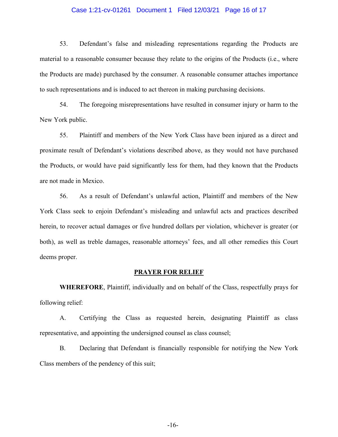## Case 1:21-cv-01261 Document 1 Filed 12/03/21 Page 16 of 17

53. Defendant's false and misleading representations regarding the Products are material to a reasonable consumer because they relate to the origins of the Products (i.e., where the Products are made) purchased by the consumer. A reasonable consumer attaches importance to such representations and is induced to act thereon in making purchasing decisions.

54. The foregoing misrepresentations have resulted in consumer injury or harm to the New York public.

55. Plaintiff and members of the New York Class have been injured as a direct and proximate result of Defendant's violations described above, as they would not have purchased the Products, or would have paid significantly less for them, had they known that the Products are not made in Mexico.

56. As a result of Defendant's unlawful action, Plaintiff and members of the New York Class seek to enjoin Defendant's misleading and unlawful acts and practices described herein, to recover actual damages or five hundred dollars per violation, whichever is greater (or both), as well as treble damages, reasonable attorneys' fees, and all other remedies this Court deems proper.

#### **PRAYER FOR RELIEF**

**WHEREFORE**, Plaintiff, individually and on behalf of the Class, respectfully prays for following relief:

A. Certifying the Class as requested herein, designating Plaintiff as class representative, and appointing the undersigned counsel as class counsel;

B. Declaring that Defendant is financially responsible for notifying the New York Class members of the pendency of this suit;

-16-